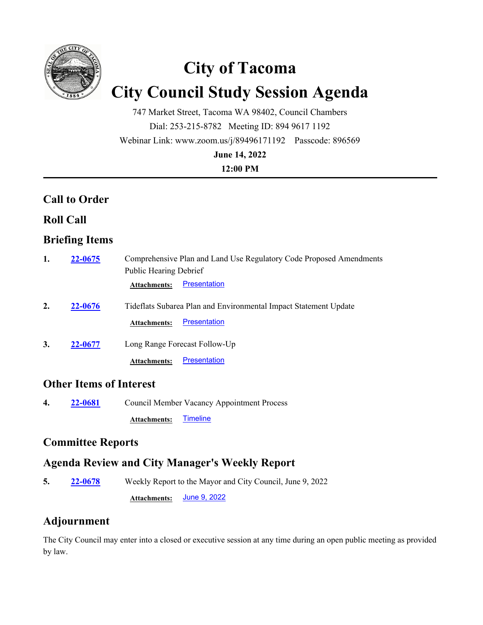

# **City of Tacoma City Council Study Session Agenda**

747 Market Street, Tacoma WA 98402, Council Chambers Dial: 253-215-8782 Meeting ID: 894 9617 1192 Webinar Link: www.zoom.us/j/89496171192 Passcode: 896569 **June 14, 2022**

**12:00 PM**

## **Call to Order**

### **Roll Call**

## **Briefing Items**

| 1. | 22-0675        | Comprehensive Plan and Land Use Regulatory Code Proposed Amendments |                     |
|----|----------------|---------------------------------------------------------------------|---------------------|
|    |                | <b>Public Hearing Debrief</b>                                       |                     |
|    |                | <b>Attachments:</b>                                                 | <b>Presentation</b> |
| 2. | <b>22-0676</b> | Tideflats Subarea Plan and Environmental Impact Statement Update    |                     |
|    |                | <b>Attachments:</b>                                                 | Presentation        |
| 3. | 22-0677        | Long Range Forecast Follow-Up                                       |                     |
|    |                | <b>Attachments:</b>                                                 | <b>Presentation</b> |

#### **Other Items of Interest**

**4. 22-0681** Council Member Vacancy Appointment Process

Attachments: [Timeline](http://cityoftacoma.legistar.com/gateway.aspx?M=F&ID=342798fa-82b8-4467-89dc-e8238da1ccfc.pdf)

#### **Committee Reports**

#### **Agenda Review and City Manager's Weekly Report**

**5. 22-0678** Weekly Report to the Mayor and City Council, June 9, 2022 **Attachments:** [June 9, 2022](http://cityoftacoma.legistar.com/gateway.aspx?M=F&ID=af067d2d-0ccf-4063-9d66-ecf01b515321.pdf)

## **Adjournment**

The City Council may enter into a closed or executive session at any time during an open public meeting as provided by law.